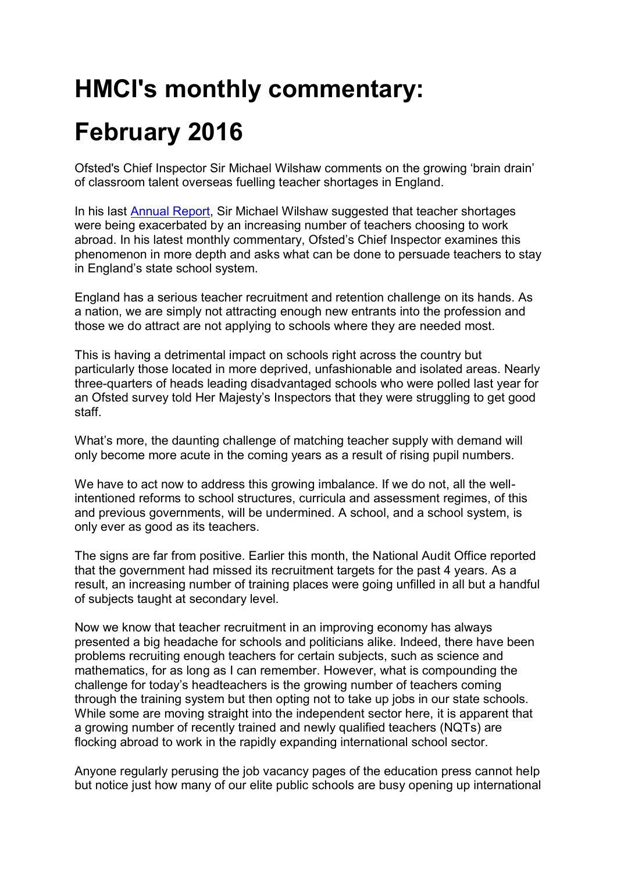## **HMCI's monthly commentary:**

## **February 2016**

Ofsted's Chief Inspector Sir Michael Wilshaw comments on the growing 'brain drain' of classroom talent overseas fuelling teacher shortages in England.

In his last [Annual Report,](https://www.gov.uk/government/publications/ofsted-annual-report-201415-education-and-skills) Sir Michael Wilshaw suggested that teacher shortages were being exacerbated by an increasing number of teachers choosing to work abroad. In his latest monthly commentary, Ofsted's Chief Inspector examines this phenomenon in more depth and asks what can be done to persuade teachers to stay in England's state school system.

England has a serious teacher recruitment and retention challenge on its hands. As a nation, we are simply not attracting enough new entrants into the profession and those we do attract are not applying to schools where they are needed most.

This is having a detrimental impact on schools right across the country but particularly those located in more deprived, unfashionable and isolated areas. Nearly three-quarters of heads leading disadvantaged schools who were polled last year for an Ofsted survey told Her Majesty's Inspectors that they were struggling to get good staff.

What's more, the daunting challenge of matching teacher supply with demand will only become more acute in the coming years as a result of rising pupil numbers.

We have to act now to address this growing imbalance. If we do not, all the wellintentioned reforms to school structures, curricula and assessment regimes, of this and previous governments, will be undermined. A school, and a school system, is only ever as good as its teachers.

The signs are far from positive. Earlier this month, the National Audit Office reported that the government had missed its recruitment targets for the past 4 years. As a result, an increasing number of training places were going unfilled in all but a handful of subjects taught at secondary level.

Now we know that teacher recruitment in an improving economy has always presented a big headache for schools and politicians alike. Indeed, there have been problems recruiting enough teachers for certain subjects, such as science and mathematics, for as long as I can remember. However, what is compounding the challenge for today's headteachers is the growing number of teachers coming through the training system but then opting not to take up jobs in our state schools. While some are moving straight into the independent sector here, it is apparent that a growing number of recently trained and newly qualified teachers (NQTs) are flocking abroad to work in the rapidly expanding international school sector.

Anyone regularly perusing the job vacancy pages of the education press cannot help but notice just how many of our elite public schools are busy opening up international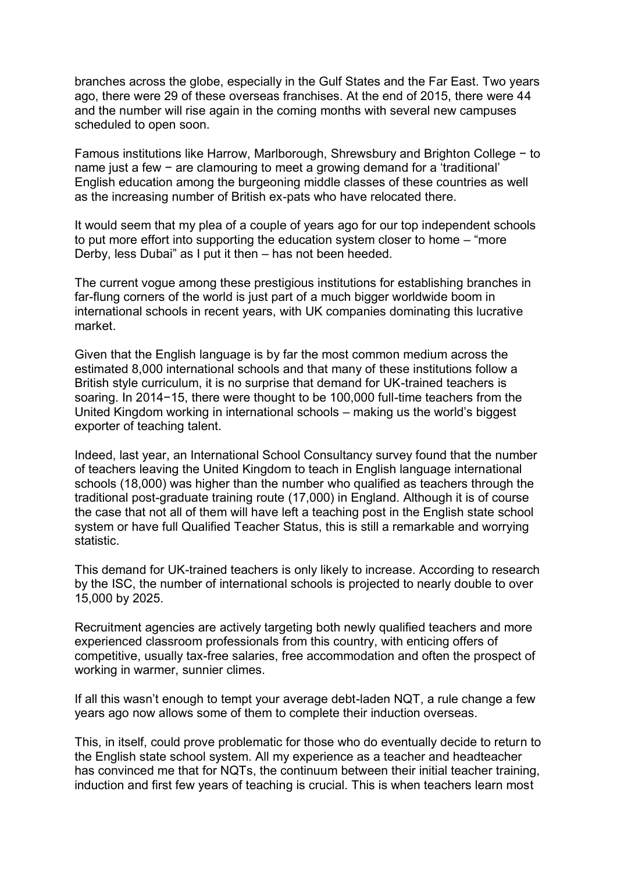branches across the globe, especially in the Gulf States and the Far East. Two years ago, there were 29 of these overseas franchises. At the end of 2015, there were 44 and the number will rise again in the coming months with several new campuses scheduled to open soon.

Famous institutions like Harrow, Marlborough, Shrewsbury and Brighton College − to name just a few − are clamouring to meet a growing demand for a 'traditional' English education among the burgeoning middle classes of these countries as well as the increasing number of British ex-pats who have relocated there.

It would seem that my plea of a couple of years ago for our top independent schools to put more effort into supporting the education system closer to home – "more Derby, less Dubai" as I put it then – has not been heeded.

The current vogue among these prestigious institutions for establishing branches in far-flung corners of the world is just part of a much bigger worldwide boom in international schools in recent years, with UK companies dominating this lucrative market.

Given that the English language is by far the most common medium across the estimated 8,000 international schools and that many of these institutions follow a British style curriculum, it is no surprise that demand for UK-trained teachers is soaring. In 2014−15, there were thought to be 100,000 full-time teachers from the United Kingdom working in international schools – making us the world's biggest exporter of teaching talent.

Indeed, last year, an International School Consultancy survey found that the number of teachers leaving the United Kingdom to teach in English language international schools (18,000) was higher than the number who qualified as teachers through the traditional post-graduate training route (17,000) in England. Although it is of course the case that not all of them will have left a teaching post in the English state school system or have full Qualified Teacher Status, this is still a remarkable and worrying statistic.

This demand for UK-trained teachers is only likely to increase. According to research by the ISC, the number of international schools is projected to nearly double to over 15,000 by 2025.

Recruitment agencies are actively targeting both newly qualified teachers and more experienced classroom professionals from this country, with enticing offers of competitive, usually tax-free salaries, free accommodation and often the prospect of working in warmer, sunnier climes.

If all this wasn't enough to tempt your average debt-laden NQT, a rule change a few years ago now allows some of them to complete their induction overseas.

This, in itself, could prove problematic for those who do eventually decide to return to the English state school system. All my experience as a teacher and headteacher has convinced me that for NQTs, the continuum between their initial teacher training, induction and first few years of teaching is crucial. This is when teachers learn most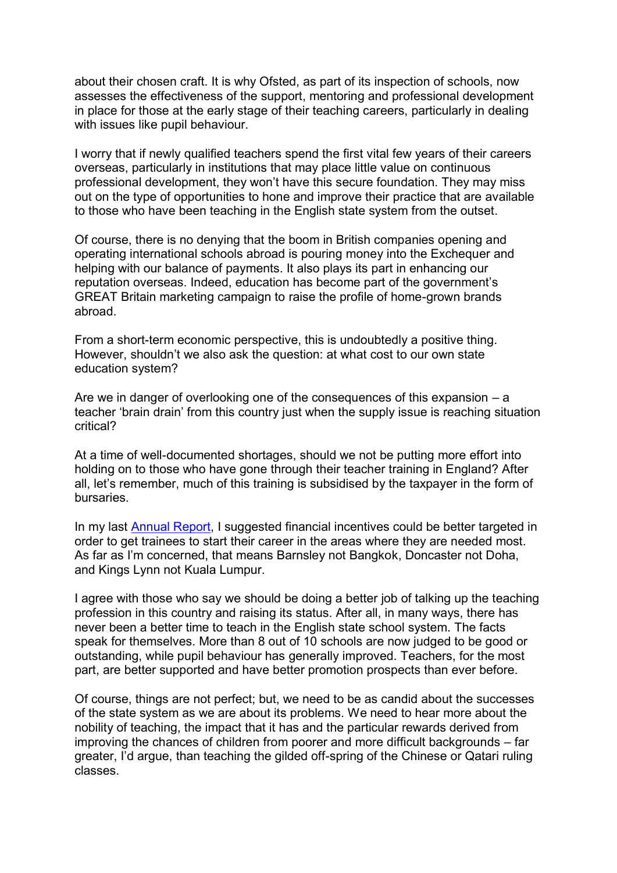about their chosen craft. It is why Ofsted, as part of its inspection of schools, now assesses the effectiveness of the support, mentoring and professional development in place for those at the early stage of their teaching careers, particularly in dealing with issues like pupil behaviour.

I worry that if newly qualified teachers spend the first vital few years of their careers overseas, particularly in institutions that may place little value on continuous professional development, they won't have this secure foundation. They may miss out on the type of opportunities to hone and improve their practice that are available to those who have been teaching in the English state system from the outset.

Of course, there is no denying that the boom in British companies opening and operating international schools abroad is pouring money into the Exchequer and helping with our balance of payments. It also plays its part in enhancing our reputation overseas. Indeed, education has become part of the government's GREAT Britain marketing campaign to raise the profile of home-grown brands abroad.

From a short-term economic perspective, this is undoubtedly a positive thing. However, shouldn't we also ask the question: at what cost to our own state education system?

Are we in danger of overlooking one of the consequences of this expansion – a teacher 'brain drain' from this country just when the supply issue is reaching situation critical?

At a time of well-documented shortages, should we not be putting more effort into holding on to those who have gone through their teacher training in England? After all, let's remember, much of this training is subsidised by the taxpayer in the form of bursaries.

In my last [Annual Report,](https://www.gov.uk/government/publications/ofsted-annual-report-201415-education-and-skills) I suggested financial incentives could be better targeted in order to get trainees to start their career in the areas where they are needed most. As far as I'm concerned, that means Barnsley not Bangkok, Doncaster not Doha, and Kings Lynn not Kuala Lumpur.

I agree with those who say we should be doing a better job of talking up the teaching profession in this country and raising its status. After all, in many ways, there has never been a better time to teach in the English state school system. The facts speak for themselves. More than 8 out of 10 schools are now judged to be good or outstanding, while pupil behaviour has generally improved. Teachers, for the most part, are better supported and have better promotion prospects than ever before.

Of course, things are not perfect; but, we need to be as candid about the successes of the state system as we are about its problems. We need to hear more about the nobility of teaching, the impact that it has and the particular rewards derived from improving the chances of children from poorer and more difficult backgrounds – far greater, I'd argue, than teaching the gilded off-spring of the Chinese or Qatari ruling classes.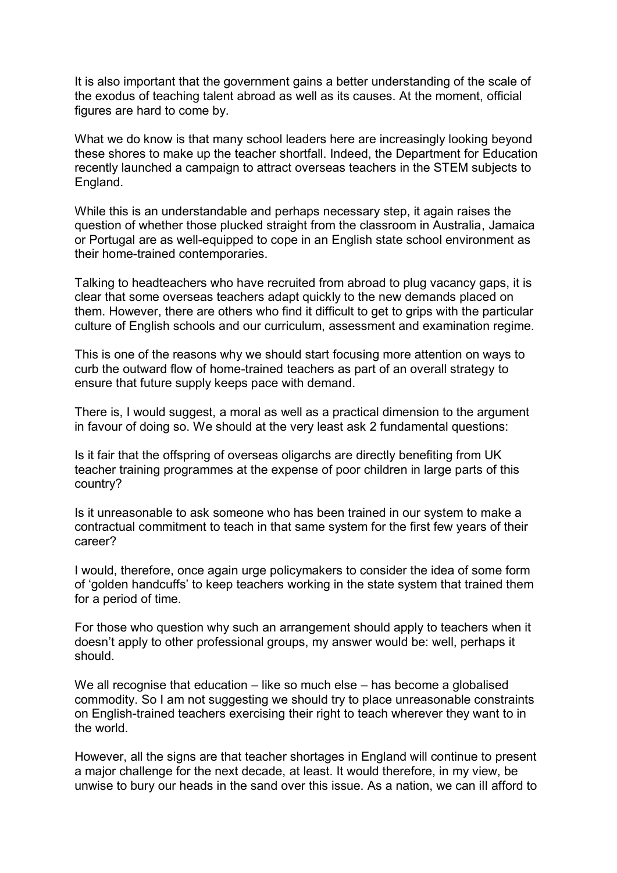It is also important that the government gains a better understanding of the scale of the exodus of teaching talent abroad as well as its causes. At the moment, official figures are hard to come by.

What we do know is that many school leaders here are increasingly looking beyond these shores to make up the teacher shortfall. Indeed, the Department for Education recently launched a campaign to attract overseas teachers in the STEM subjects to England.

While this is an understandable and perhaps necessary step, it again raises the question of whether those plucked straight from the classroom in Australia, Jamaica or Portugal are as well-equipped to cope in an English state school environment as their home-trained contemporaries.

Talking to headteachers who have recruited from abroad to plug vacancy gaps, it is clear that some overseas teachers adapt quickly to the new demands placed on them. However, there are others who find it difficult to get to grips with the particular culture of English schools and our curriculum, assessment and examination regime.

This is one of the reasons why we should start focusing more attention on ways to curb the outward flow of home-trained teachers as part of an overall strategy to ensure that future supply keeps pace with demand.

There is, I would suggest, a moral as well as a practical dimension to the argument in favour of doing so. We should at the very least ask 2 fundamental questions:

Is it fair that the offspring of overseas oligarchs are directly benefiting from UK teacher training programmes at the expense of poor children in large parts of this country?

Is it unreasonable to ask someone who has been trained in our system to make a contractual commitment to teach in that same system for the first few years of their career?

I would, therefore, once again urge policymakers to consider the idea of some form of 'golden handcuffs' to keep teachers working in the state system that trained them for a period of time.

For those who question why such an arrangement should apply to teachers when it doesn't apply to other professional groups, my answer would be: well, perhaps it should.

We all recognise that education – like so much else – has become a globalised commodity. So I am not suggesting we should try to place unreasonable constraints on English-trained teachers exercising their right to teach wherever they want to in the world.

However, all the signs are that teacher shortages in England will continue to present a major challenge for the next decade, at least. It would therefore, in my view, be unwise to bury our heads in the sand over this issue. As a nation, we can ill afford to